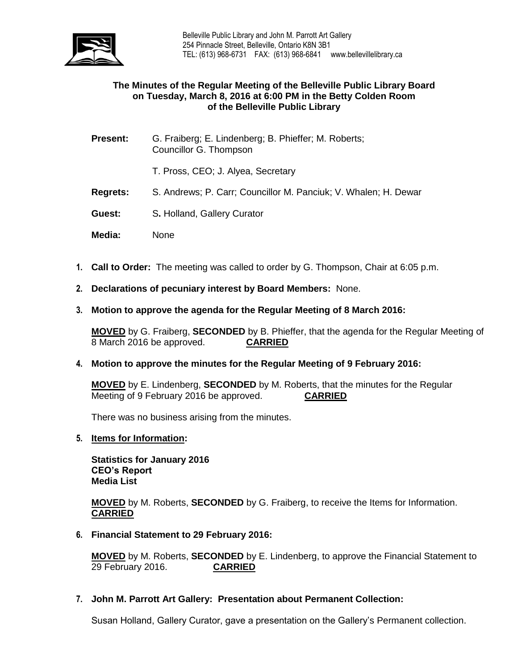

## **The Minutes of the Regular Meeting of the Belleville Public Library Board on Tuesday, March 8, 2016 at 6:00 PM in the Betty Colden Room of the Belleville Public Library**

- **Present:** G. Fraiberg; E. Lindenberg; B. Phieffer; M. Roberts; Councillor G. Thompson
	- T. Pross, CEO; J. Alyea, Secretary
- **Regrets:** S. Andrews; P. Carr; Councillor M. Panciuk; V. Whalen; H. Dewar
- **Guest:** S**.** Holland, Gallery Curator
- **Media:** None
- **1. Call to Order:** The meeting was called to order by G. Thompson, Chair at 6:05 p.m.
- **2. Declarations of pecuniary interest by Board Members:** None.
- **3. Motion to approve the agenda for the Regular Meeting of 8 March 2016:**

**MOVED** by G. Fraiberg, **SECONDED** by B. Phieffer, that the agenda for the Regular Meeting of 8 March 2016 be approved. **CARRIED**

**4. Motion to approve the minutes for the Regular Meeting of 9 February 2016:**

**MOVED** by E. Lindenberg, **SECONDED** by M. Roberts, that the minutes for the Regular Meeting of 9 February 2016 be approved. **CARRIED**

There was no business arising from the minutes.

**5. Items for Information:**

**Statistics for January 2016 CEO's Report Media List**

**MOVED** by M. Roberts, **SECONDED** by G. Fraiberg, to receive the Items for Information. **CARRIED**

**6. Financial Statement to 29 February 2016:**

**MOVED** by M. Roberts, **SECONDED** by E. Lindenberg, to approve the Financial Statement to 29 February 2016. **CARRIED**

**7. John M. Parrott Art Gallery: Presentation about Permanent Collection:**

Susan Holland, Gallery Curator, gave a presentation on the Gallery's Permanent collection.